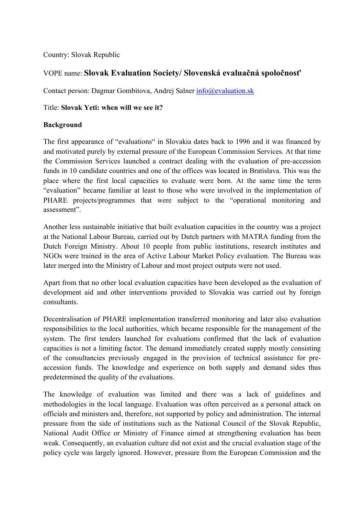# Country: Slovak Republic

# VOPE name: **Slovak Evaluation Society/ Slovenská evaluačná spoločnosť**

Contact person: Dagmar Gombitova, Andrej Salner info@evaluation.sk

## Title: **Slovak Yeti: when will we see it?**

## **Background**

The first appearance of "evaluations" in Slovakia dates back to 1996 and it was financed by and motivated purely by external pressure of the European Commission Services. At that time the Commission Services launched a contract dealing with the evaluation of pre-accession funds in 10 candidate countries and one of the offices was located in Bratislava. This was the place where the first local capacities to evaluate were born. At the same time the term "evaluation" became familiar at least to those who were involved in the implementation of PHARE projects/programmes that were subject to the "operational monitoring and assessment".

Another less sustainable initiative that built evaluation capacities in the country was a project at the National Labour Bureau, carried out by Dutch partners with MATRA funding from the Dutch Foreign Ministry. About 10 people from public institutions, research institutes and NGOs were trained in the area of Active Labour Market Policy evaluation. The Bureau was later merged into the Ministry of Labour and most project outputs were not used.

Apart from that no other local evaluation capacities have been developed as the evaluation of development aid and other interventions provided to Slovakia was carried out by foreign consultants.

Decentralisation of PHARE implementation transferred monitoring and later also evaluation responsibilities to the local authorities, which became responsible for the management of the system. The first tenders launched for evaluations confirmed that the lack of evaluation capacities is not a limiting factor. The demand immediately created supply mostly consisting of the consultancies previously engaged in the provision of technical assistance for preaccession funds. The knowledge and experience on both supply and demand sides thus predetermined the quality of the evaluations.

The knowledge of evaluation was limited and there was a lack of guidelines and methodologies in the local language. Evaluation was often perceived as a personal attack on officials and ministers and, therefore, not supported by policy and administration. The internal pressure from the side of institutions such as the National Council of the Slovak Republic, National Audit Office or Ministry of Finance aimed at strengthening evaluation has been weak. Consequently, an evaluation culture did not exist and the crucial evaluation stage of the policy cycle was largely ignored. However, pressure from the European Commission and the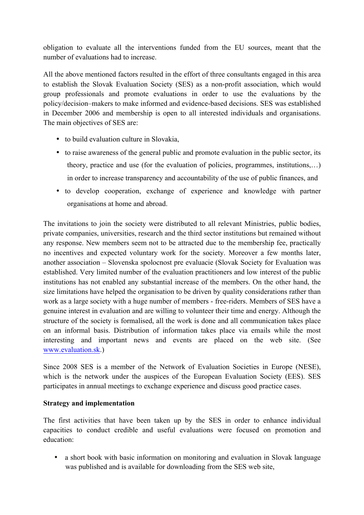obligation to evaluate all the interventions funded from the EU sources, meant that the number of evaluations had to increase.

All the above mentioned factors resulted in the effort of three consultants engaged in this area to establish the Slovak Evaluation Society (SES) as a non-profit association, which would group professionals and promote evaluations in order to use the evaluations by the policy/decision–makers to make informed and evidence-based decisions. SES was established in December 2006 and membership is open to all interested individuals and organisations. The main objectives of SES are:

- to build evaluation culture in Slovakia,
- to raise awareness of the general public and promote evaluation in the public sector, its theory, practice and use (for the evaluation of policies, programmes, institutions,…) in order to increase transparency and accountability of the use of public finances, and
- to develop cooperation, exchange of experience and knowledge with partner organisations at home and abroad.

The invitations to join the society were distributed to all relevant Ministries, public bodies, private companies, universities, research and the third sector institutions but remained without any response. New members seem not to be attracted due to the membership fee, practically no incentives and expected voluntary work for the society. Moreover a few months later, another association – Slovenska spolocnost pre evaluacie (Slovak Society for Evaluation was established. Very limited number of the evaluation practitioners and low interest of the public institutions has not enabled any substantial increase of the members. On the other hand, the size limitations have helped the organisation to be driven by quality considerations rather than work as a large society with a huge number of members - free-riders. Members of SES have a genuine interest in evaluation and are willing to volunteer their time and energy. Although the structure of the society is formalised, all the work is done and all communication takes place on an informal basis. Distribution of information takes place via emails while the most interesting and important news and events are placed on the web site. (See www.evaluation.sk.)

Since 2008 SES is a member of the Network of Evaluation Societies in Europe (NESE), which is the network under the auspices of the European Evaluation Society (EES). SES participates in annual meetings to exchange experience and discuss good practice cases.

#### **Strategy and implementation**

The first activities that have been taken up by the SES in order to enhance individual capacities to conduct credible and useful evaluations were focused on promotion and education:

• a short book with basic information on monitoring and evaluation in Slovak language was published and is available for downloading from the SES web site,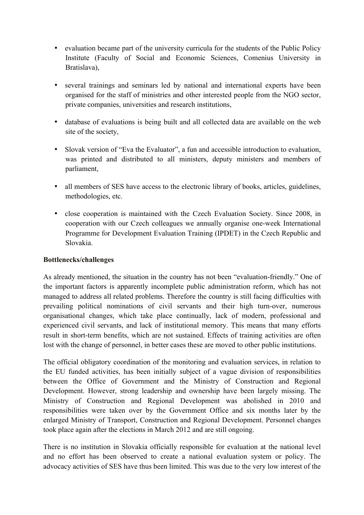- evaluation became part of the university curricula for the students of the Public Policy Institute (Faculty of Social and Economic Sciences, Comenius University in Bratislava)
- several trainings and seminars led by national and international experts have been organised for the staff of ministries and other interested people from the NGO sector, private companies, universities and research institutions,
- database of evaluations is being built and all collected data are available on the web site of the society,
- Slovak version of "Eva the Evaluator", a fun and accessible introduction to evaluation, was printed and distributed to all ministers, deputy ministers and members of parliament,
- all members of SES have access to the electronic library of books, articles, guidelines, methodologies, etc.
- close cooperation is maintained with the Czech Evaluation Society. Since 2008, in cooperation with our Czech colleagues we annually organise one-week International Programme for Development Evaluation Training (IPDET) in the Czech Republic and Slovakia.

#### **Bottlenecks/challenges**

As already mentioned, the situation in the country has not been "evaluation-friendly." One of the important factors is apparently incomplete public administration reform, which has not managed to address all related problems. Therefore the country is still facing difficulties with prevailing political nominations of civil servants and their high turn-over, numerous organisational changes, which take place continually, lack of modern, professional and experienced civil servants, and lack of institutional memory. This means that many efforts result in short-term benefits, which are not sustained. Effects of training activities are often lost with the change of personnel, in better cases these are moved to other public institutions.

The official obligatory coordination of the monitoring and evaluation services, in relation to the EU funded activities, has been initially subject of a vague division of responsibilities between the Office of Government and the Ministry of Construction and Regional Development. However, strong leadership and ownership have been largely missing. The Ministry of Construction and Regional Development was abolished in 2010 and responsibilities were taken over by the Government Office and six months later by the enlarged Ministry of Transport, Construction and Regional Development. Personnel changes took place again after the elections in March 2012 and are still ongoing.

There is no institution in Slovakia officially responsible for evaluation at the national level and no effort has been observed to create a national evaluation system or policy. The advocacy activities of SES have thus been limited. This was due to the very low interest of the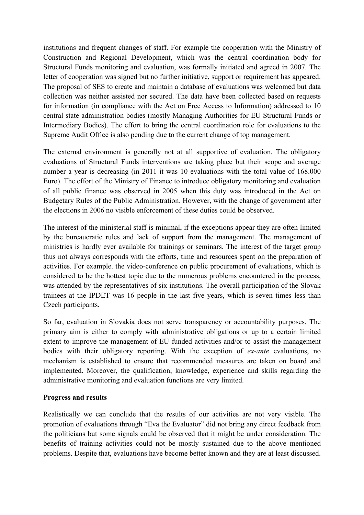institutions and frequent changes of staff. For example the cooperation with the Ministry of Construction and Regional Development, which was the central coordination body for Structural Funds monitoring and evaluation, was formally initiated and agreed in 2007. The letter of cooperation was signed but no further initiative, support or requirement has appeared. The proposal of SES to create and maintain a database of evaluations was welcomed but data collection was neither assisted nor secured. The data have been collected based on requests for information (in compliance with the Act on Free Access to Information) addressed to 10 central state administration bodies (mostly Managing Authorities for EU Structural Funds or Intermediary Bodies). The effort to bring the central coordination role for evaluations to the Supreme Audit Office is also pending due to the current change of top management.

The external environment is generally not at all supportive of evaluation. The obligatory evaluations of Structural Funds interventions are taking place but their scope and average number a year is decreasing (in 2011 it was 10 evaluations with the total value of 168,000 Euro). The effort of the Ministry of Finance to introduce obligatory monitoring and evaluation of all public finance was observed in 2005 when this duty was introduced in the Act on Budgetary Rules of the Public Administration. However, with the change of government after the elections in 2006 no visible enforcement of these duties could be observed.

The interest of the ministerial staff is minimal, if the exceptions appear they are often limited by the bureaucratic rules and lack of support from the management. The management of ministries is hardly ever available for trainings or seminars. The interest of the target group thus not always corresponds with the efforts, time and resources spent on the preparation of activities. For example. the video-conference on public procurement of evaluations, which is considered to be the hottest topic due to the numerous problems encountered in the process, was attended by the representatives of six institutions. The overall participation of the Slovak trainees at the IPDET was 16 people in the last five years, which is seven times less than Czech participants.

So far, evaluation in Slovakia does not serve transparency or accountability purposes. The primary aim is either to comply with administrative obligations or up to a certain limited extent to improve the management of EU funded activities and/or to assist the management bodies with their obligatory reporting. With the exception of *ex-ante* evaluations, no mechanism is established to ensure that recommended measures are taken on board and implemented. Moreover, the qualification, knowledge, experience and skills regarding the administrative monitoring and evaluation functions are very limited.

#### **Progress and results**

Realistically we can conclude that the results of our activities are not very visible. The promotion of evaluations through "Eva the Evaluator" did not bring any direct feedback from the politicians but some signals could be observed that it might be under consideration. The benefits of training activities could not be mostly sustained due to the above mentioned problems. Despite that, evaluations have become better known and they are at least discussed.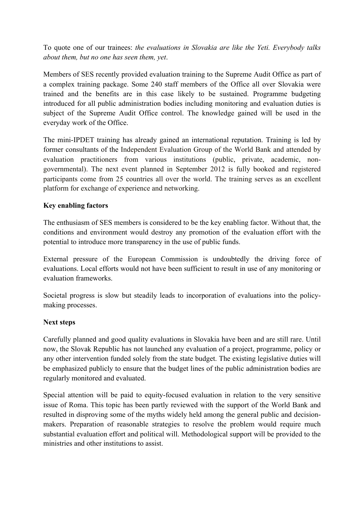To quote one of our trainees: *the evaluations in Slovakia are like the Yeti. Everybody talks about them, but no one has seen them, yet*.

Members of SES recently provided evaluation training to the Supreme Audit Office as part of a complex training package. Some 240 staff members of the Office all over Slovakia were trained and the benefits are in this case likely to be sustained. Programme budgeting introduced for all public administration bodies including monitoring and evaluation duties is subject of the Supreme Audit Office control. The knowledge gained will be used in the everyday work of the Office.

The mini-IPDET training has already gained an international reputation. Training is led by former consultants of the Independent Evaluation Group of the World Bank and attended by evaluation practitioners from various institutions (public, private, academic, nongovernmental). The next event planned in September 2012 is fully booked and registered participants come from 25 countries all over the world. The training serves as an excellent platform for exchange of experience and networking.

# **Key enabling factors**

The enthusiasm of SES members is considered to be the key enabling factor. Without that, the conditions and environment would destroy any promotion of the evaluation effort with the potential to introduce more transparency in the use of public funds.

External pressure of the European Commission is undoubtedly the driving force of evaluations. Local efforts would not have been sufficient to result in use of any monitoring or evaluation frameworks.

Societal progress is slow but steadily leads to incorporation of evaluations into the policymaking processes.

#### **Next steps**

Carefully planned and good quality evaluations in Slovakia have been and are still rare. Until now, the Slovak Republic has not launched any evaluation of a project, programme, policy or any other intervention funded solely from the state budget. The existing legislative duties will be emphasized publicly to ensure that the budget lines of the public administration bodies are regularly monitored and evaluated.

Special attention will be paid to equity-focused evaluation in relation to the very sensitive issue of Roma. This topic has been partly reviewed with the support of the World Bank and resulted in disproving some of the myths widely held among the general public and decisionmakers. Preparation of reasonable strategies to resolve the problem would require much substantial evaluation effort and political will. Methodological support will be provided to the ministries and other institutions to assist.